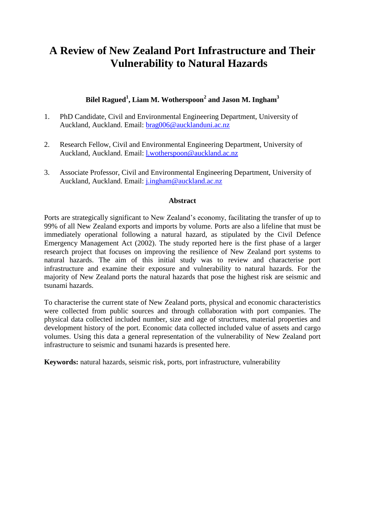# **A Review of New Zealand Port Infrastructure and Their Vulnerability to Natural Hazards**

# **Bilel Ragued<sup>1</sup> , Liam M. Wotherspoon<sup>2</sup> and Jason M. Ingham<sup>3</sup>**

- 1. PhD Candidate, Civil and Environmental Engineering Department, University of Auckland, Auckland. Email: [brag006@aucklanduni.ac.nz](mailto:brag006@aucklanduni.ac.nz)
- 2. Research Fellow, Civil and Environmental Engineering Department, University of Auckland, Auckland. Email: [l.wotherspoon@auckland.ac.nz](mailto:l.wotherspoon@auckland.ac.nz)
- 3. Associate Professor, Civil and Environmental Engineering Department, University of Auckland, Auckland. Email: [j.ingham@auckland.ac.nz](mailto:j.ingham@auckland.ac.nz)

#### **Abstract**

Ports are strategically significant to New Zealand's economy, facilitating the transfer of up to 99% of all New Zealand exports and imports by volume. Ports are also a lifeline that must be immediately operational following a natural hazard, as stipulated by the Civil Defence Emergency Management Act (2002). The study reported here is the first phase of a larger research project that focuses on improving the resilience of New Zealand port systems to natural hazards. The aim of this initial study was to review and characterise port infrastructure and examine their exposure and vulnerability to natural hazards. For the majority of New Zealand ports the natural hazards that pose the highest risk are seismic and tsunami hazards.

To characterise the current state of New Zealand ports, physical and economic characteristics were collected from public sources and through collaboration with port companies. The physical data collected included number, size and age of structures, material properties and development history of the port. Economic data collected included value of assets and cargo volumes. Using this data a general representation of the vulnerability of New Zealand port infrastructure to seismic and tsunami hazards is presented here.

**Keywords:** natural hazards, seismic risk, ports, port infrastructure, vulnerability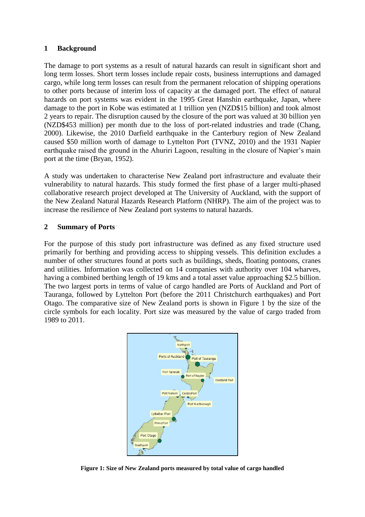#### **1 Background**

The damage to port systems as a result of natural hazards can result in significant short and long term losses. Short term losses include repair costs, business interruptions and damaged cargo, while long term losses can result from the permanent relocation of shipping operations to other ports because of interim loss of capacity at the damaged port. The effect of natural hazards on port systems was evident in the 1995 Great Hanshin earthquake, Japan, where damage to the port in Kobe was estimated at 1 trillion yen (NZD\$15 billion) and took almost 2 years to repair. The disruption caused by the closure of the port was valued at 30 billion yen (NZD\$453 million) per month due to the loss of port-related industries and trade (Chang, 2000). Likewise, the 2010 Darfield earthquake in the Canterbury region of New Zealand caused \$50 million worth of damage to Lyttelton Port (TVNZ, 2010) and the 1931 Napier earthquake raised the ground in the Ahuriri Lagoon, resulting in the closure of Napier's main port at the time (Bryan, 1952).

A study was undertaken to characterise New Zealand port infrastructure and evaluate their vulnerability to natural hazards. This study formed the first phase of a larger multi-phased collaborative research project developed at The University of Auckland, with the support of the New Zealand Natural Hazards Research Platform (NHRP). The aim of the project was to increase the resilience of New Zealand port systems to natural hazards.

## **2 Summary of Ports**

For the purpose of this study port infrastructure was defined as any fixed structure used primarily for berthing and providing access to shipping vessels. This definition excludes a number of other structures found at ports such as buildings, sheds, floating pontoons, cranes and utilities. Information was collected on 14 companies with authority over 104 wharves, having a combined berthing length of 19 kms and a total asset value approaching \$2.5 billion. The two largest ports in terms of value of cargo handled are Ports of Auckland and Port of Tauranga, followed by Lyttelton Port (before the 2011 Christchurch earthquakes) and Port Otago. The comparative size of New Zealand ports is shown in Figure 1 by the size of the circle symbols for each locality. Port size was measured by the value of cargo traded from 1989 to 2011.



**Figure 1: Size of New Zealand ports measured by total value of cargo handled**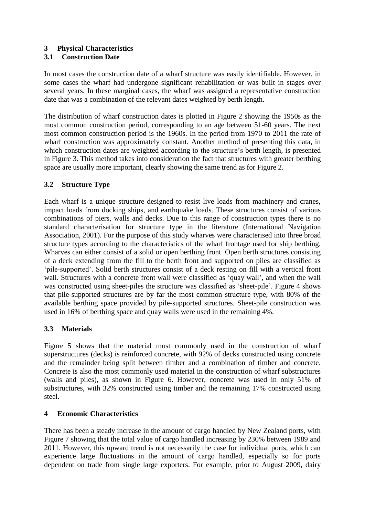## **3 Physical Characteristics**

# **3.1 Construction Date**

In most cases the construction date of a wharf structure was easily identifiable. However, in some cases the wharf had undergone significant rehabilitation or was built in stages over several years. In these marginal cases, the wharf was assigned a representative construction date that was a combination of the relevant dates weighted by berth length.

The distribution of wharf construction dates is plotted in Figure 2 showing the 1950s as the most common construction period, corresponding to an age between 51-60 years. The next most common construction period is the 1960s. In the period from 1970 to 2011 the rate of wharf construction was approximately constant. Another method of presenting this data, in which construction dates are weighted according to the structure's berth length, is presented in Figure 3. This method takes into consideration the fact that structures with greater berthing space are usually more important, clearly showing the same trend as for Figure 2.

# **3.2 Structure Type**

Each wharf is a unique structure designed to resist live loads from machinery and cranes, impact loads from docking ships, and earthquake loads. These structures consist of various combinations of piers, walls and decks. Due to this range of construction types there is no standard characterisation for structure type in the literature (International Navigation Association, 2001). For the purpose of this study wharves were characterised into three broad structure types according to the characteristics of the wharf frontage used for ship berthing. Wharves can either consist of a solid or open berthing front. Open berth structures consisting of a deck extending from the fill to the berth front and supported on piles are classified as 'pile-supported'. Solid berth structures consist of a deck resting on fill with a vertical front wall. Structures with a concrete front wall were classified as 'quay wall', and when the wall was constructed using sheet-piles the structure was classified as 'sheet-pile'. Figure 4 shows that pile-supported structures are by far the most common structure type, with 80% of the available berthing space provided by pile-supported structures. Sheet-pile construction was used in 16% of berthing space and quay walls were used in the remaining 4%.

## **3.3 Materials**

Figure 5 shows that the material most commonly used in the construction of wharf superstructures (decks) is reinforced concrete, with 92% of decks constructed using concrete and the remainder being split between timber and a combination of timber and concrete. Concrete is also the most commonly used material in the construction of wharf substructures (walls and piles), as shown in Figure 6. However, concrete was used in only 51% of substructures, with 32% constructed using timber and the remaining 17% constructed using steel.

## **4 Economic Characteristics**

There has been a steady increase in the amount of cargo handled by New Zealand ports, with Figure 7 showing that the total value of cargo handled increasing by 230% between 1989 and 2011. However, this upward trend is not necessarily the case for individual ports, which can experience large fluctuations in the amount of cargo handled, especially so for ports dependent on trade from single large exporters. For example, prior to August 2009, dairy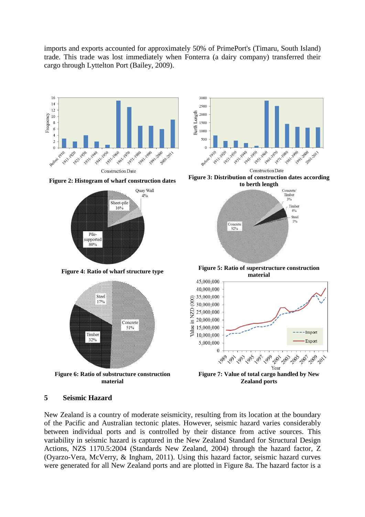imports and exports accounted for approximately 50% of PrimePort's (Timaru, South Island) trade. This trade was lost immediately when Fonterra (a dairy company) transferred their cargo through Lyttelton Port (Bailey, 2009).









**Figure 2: Histogram of wharf construction dates Figure 3: Distribution of construction dates according to berth length**



**Figure 4: Ratio of wharf structure type Figure 5: Ratio of superstructure construction material**



#### **5 Seismic Hazard**

New Zealand is a country of moderate seismicity, resulting from its location at the boundary of the Pacific and Australian tectonic plates. However, seismic hazard varies considerably between individual ports and is controlled by their distance from active sources. This variability in seismic hazard is captured in the New Zealand Standard for Structural Design Actions, NZS 1170.5:2004 (Standards New Zealand, 2004) through the hazard factor, Z (Oyarzo-Vera, McVerry, & Ingham, 2011). Using this hazard factor, seismic hazard curves were generated for all New Zealand ports and are plotted in Figure 8a. The hazard factor is a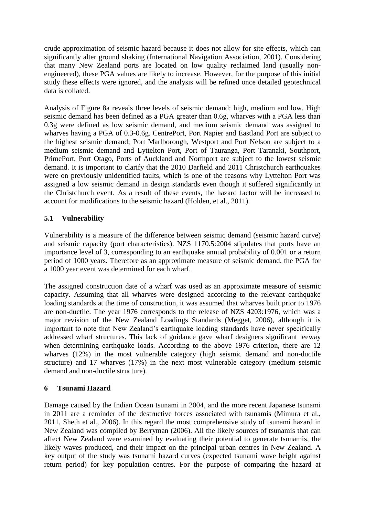crude approximation of seismic hazard because it does not allow for site effects, which can significantly alter ground shaking (International Navigation Association, 2001). Considering that many New Zealand ports are located on low quality reclaimed land (usually nonengineered), these PGA values are likely to increase. However, for the purpose of this initial study these effects were ignored, and the analysis will be refined once detailed geotechnical data is collated.

Analysis of Figure 8a reveals three levels of seismic demand: high, medium and low. High seismic demand has been defined as a PGA greater than 0.6g, wharves with a PGA less than 0.3g were defined as low seismic demand, and medium seismic demand was assigned to wharves having a PGA of 0.3-0.6g. CentrePort, Port Napier and Eastland Port are subject to the highest seismic demand; Port Marlborough, Westport and Port Nelson are subject to a medium seismic demand and Lyttelton Port, Port of Tauranga, Port Taranaki, Southport, PrimePort, Port Otago, Ports of Auckland and Northport are subject to the lowest seismic demand. It is important to clarify that the 2010 Darfield and 2011 Christchurch earthquakes were on previously unidentified faults, which is one of the reasons why Lyttelton Port was assigned a low seismic demand in design standards even though it suffered significantly in the Christchurch event. As a result of these events, the hazard factor will be increased to account for modifications to the seismic hazard (Holden, et al., 2011).

# **5.1 Vulnerability**

Vulnerability is a measure of the difference between seismic demand (seismic hazard curve) and seismic capacity (port characteristics). NZS 1170.5:2004 stipulates that ports have an importance level of 3, corresponding to an earthquake annual probability of 0.001 or a return period of 1000 years. Therefore as an approximate measure of seismic demand, the PGA for a 1000 year event was determined for each wharf.

The assigned construction date of a wharf was used as an approximate measure of seismic capacity. Assuming that all wharves were designed according to the relevant earthquake loading standards at the time of construction, it was assumed that wharves built prior to 1976 are non-ductile. The year 1976 corresponds to the release of NZS 4203:1976, which was a major revision of the New Zealand Loadings Standards (Megget, 2006), although it is important to note that New Zealand's earthquake loading standards have never specifically addressed wharf structures. This lack of guidance gave wharf designers significant leeway when determining earthquake loads. According to the above 1976 criterion, there are 12 wharves (12%) in the most vulnerable category (high seismic demand and non-ductile structure) and 17 wharves (17%) in the next most vulnerable category (medium seismic demand and non-ductile structure).

## **6 Tsunami Hazard**

Damage caused by the Indian Ocean tsunami in 2004, and the more recent Japanese tsunami in 2011 are a reminder of the destructive forces associated with tsunamis (Mimura et al., 2011, Sheth et al., 2006). In this regard the most comprehensive study of tsunami hazard in New Zealand was compiled by Berryman (2006). All the likely sources of tsunamis that can affect New Zealand were examined by evaluating their potential to generate tsunamis, the likely waves produced, and their impact on the principal urban centres in New Zealand. A key output of the study was tsunami hazard curves (expected tsunami wave height against return period) for key population centres. For the purpose of comparing the hazard at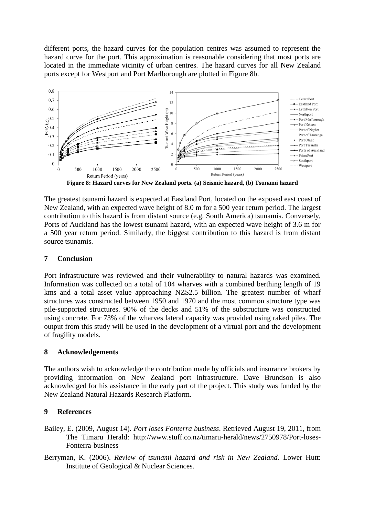different ports, the hazard curves for the population centres was assumed to represent the hazard curve for the port. This approximation is reasonable considering that most ports are located in the immediate vicinity of urban centres. The hazard curves for all New Zealand ports except for Westport and Port Marlborough are plotted in Figure 8b.



**Figure 8: Hazard curves for New Zealand ports. (a) Seismic hazard, (b) Tsunami hazard**

The greatest tsunami hazard is expected at Eastland Port, located on the exposed east coast of New Zealand, with an expected wave height of 8.0 m for a 500 year return period. The largest contribution to this hazard is from distant source (e.g. South America) tsunamis. Conversely, Ports of Auckland has the lowest tsunami hazard, with an expected wave height of 3.6 m for a 500 year return period. Similarly, the biggest contribution to this hazard is from distant source tsunamis.

#### **7 Conclusion**

Port infrastructure was reviewed and their vulnerability to natural hazards was examined. Information was collected on a total of 104 wharves with a combined berthing length of 19 kms and a total asset value approaching NZ\$2.5 billion. The greatest number of wharf structures was constructed between 1950 and 1970 and the most common structure type was pile-supported structures. 90% of the decks and 51% of the substructure was constructed using concrete. For 73% of the wharves lateral capacity was provided using raked piles. The output from this study will be used in the development of a virtual port and the development of fragility models.

#### **8 Acknowledgements**

The authors wish to acknowledge the contribution made by officials and insurance brokers by providing information on New Zealand port infrastructure. Dave Brundson is also acknowledged for his assistance in the early part of the project. This study was funded by the New Zealand Natural Hazards Research Platform.

#### **9 References**

- Bailey, E. (2009, August 14). *Port loses Fonterra business*. Retrieved August 19, 2011, from The Timaru Herald: http://www.stuff.co.nz/timaru-herald/news/2750978/Port-loses-Fonterra-business
- Berryman, K. (2006). *Review of tsunami hazard and risk in New Zealand.* Lower Hutt: Institute of Geological & Nuclear Sciences.